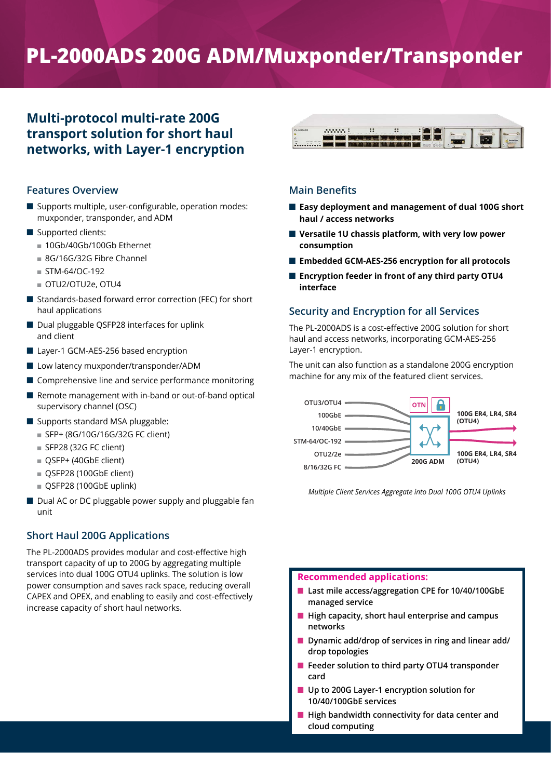# **PL-2000ADS 200G ADM/Muxponder/Transponder**

# **Multi-protocol multi-rate 200G transport solution for short haul networks, with Layer-1 encryption**

# **Features Overview**

- $\blacksquare$  Supports multiple, user-configurable, operation modes: muxponder, transponder, and ADM
- Supported clients:
	- 10Gb/40Gb/100Gb Ethernet
	- 8G/16G/32G Fibre Channel
	- $\blacksquare$  STM-64/OC-192
	- OTU2/OTU2e, OTU4
- $\blacksquare$  Standards-based forward error correction (FEC) for short haul applications
- Dual pluggable QSFP28 interfaces for uplink and client
- Layer-1 GCM-AES-256 based encryption
- Low latency muxponder/transponder/ADM
- $\blacksquare$  Comprehensive line and service performance monitoring
- Remote management with in-band or out-of-band optical supervisory channel (OSC)
- $\blacksquare$  Supports standard MSA pluggable:
	- SFP+ (8G/10G/16G/32G FC client)
	- $\blacksquare$  SFP28 (32G FC client)
	- QSFP+ (40GbE client)
	- QSFP28 (100GbE client)
	- QSFP28 (100GbE uplink)
- Dual AC or DC pluggable power supply and pluggable fan unit

# **Short Haul 200G Applications**

The PL-2000ADS provides modular and cost-effective high transport capacity of up to 200G by aggregating multiple services into dual 100G OTU4 uplinks. The solution is low power consumption and saves rack space, reducing overall CAPEX and OPEX, and enabling to easily and cost-effectively increase capacity of short haul networks.



# **Main Benefits**

- Easy deployment and management of dual 100G short **haul / access networks**
- Versatile 1U chassis platform, with very low power **consumption**
- Embedded GCM-AES-256 encryption for all protocols
- Encryption feeder in front of any third party OTU4 **interface**

# **Security and Encryption for all Services**

The PL-2000ADS is a cost-effective 200G solution for short haul and access networks, incorporating GCM-AES-256 Layer-1 encryption.

The unit can also function as a standalone 200G encryption machine for any mix of the featured client services.



*Multiple Client Services Aggregate into Dual 100G OTU4 Uplinks*

# **Recommended applications:**

- Last mile access/aggregation CPE for 10/40/100GbE **managed service**
- High capacity, short haul enterprise and campus **networks**
- Dynamic add/drop of services in ring and linear add/ **drop topologies**
- Feeder solution to third party OTU4 transponder **card**
- Up to 200G Layer-1 encryption solution for **10/40/100GbE services**
- High bandwidth connectivity for data center and **cloud computing**